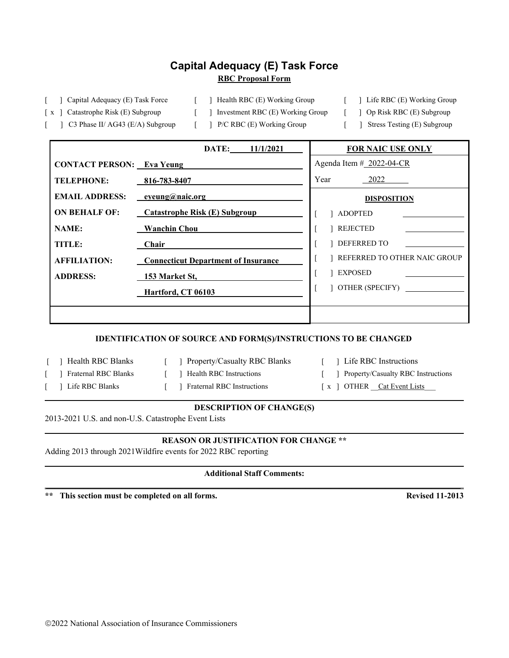# **Capital Adequacy (E) Task Force RBC Proposal Form**

[ ] Capital Adequacy (E) Task Force [ ] Health RBC (E) Working Group [ ] Life RBC (E) Working Group

- 
- [ x ] Catastrophe Risk (E) Subgroup [ ] Investment RBC (E) Working Group [ ] Op Risk RBC (E) Subgroup
- -
- [ ] C3 Phase II/ AG43 (E/A) Subgroup [ ] P/C RBC (E) Working Group [ ] Stress Testing (E) Subgroup
- 
- 
- 

|                                  | DATE:<br>11/1/2021                         | <b>FOR NAIC USE ONLY</b>     |  |  |
|----------------------------------|--------------------------------------------|------------------------------|--|--|
| <b>CONTACT PERSON:</b> Eva Yeung |                                            | Agenda Item $#$ 2022-04-CR   |  |  |
| <b>TELEPHONE:</b>                | 816-783-8407                               | Year<br>2022                 |  |  |
| <b>EMAIL ADDRESS:</b>            | eyeung@naic.org                            | <b>DISPOSITION</b>           |  |  |
| <b>ON BEHALF OF:</b>             | <b>Catastrophe Risk (E) Subgroup</b>       | <b>ADOPTED</b>               |  |  |
| <b>NAME:</b>                     | <b>Wanchin Chou</b>                        | REJECTED                     |  |  |
| <b>TITLE:</b>                    | Chair                                      | DEFERRED TO                  |  |  |
| <b>AFFILIATION:</b>              | <b>Connecticut Department of Insurance</b> | REFERRED TO OTHER NAIC GROUP |  |  |
| <b>ADDRESS:</b>                  | 153 Market St,                             | EXPOSED                      |  |  |
|                                  | Hartford, CT 06103                         | OTHER (SPECIFY)              |  |  |
|                                  |                                            |                              |  |  |
|                                  |                                            |                              |  |  |

## **IDENTIFICATION OF SOURCE AND FORM(S)/INSTRUCTIONS TO BE CHANGED**

- 
- [ ] Health RBC Blanks [ ] Property/Casualty RBC Blanks [ ] Life RBC Instructions
- 
- 
- 
- 
- 
- 
- [ ] Fraternal RBC Blanks [ ] Health RBC Instructions [ ] Property/Casualty RBC Instructions
- ] Life RBC Blanks [ ] Fraternal RBC Instructions [ x ] OTHER Cat Event Lists

## **DESCRIPTION OF CHANGE(S)**

2013-2021 U.S. and non-U.S. Catastrophe Event Lists

## **REASON OR JUSTIFICATION FOR CHANGE \*\***

Adding 2013 through 2021Wildfire events for 2022 RBC reporting

### **Additional Staff Comments:** \_\_\_\_\_\_\_\_\_\_\_\_\_\_\_\_\_\_\_\_\_\_\_\_\_\_\_\_\_\_\_\_\_\_\_\_\_\_\_\_\_\_\_\_\_\_\_\_\_\_\_\_\_\_\_\_\_\_\_\_\_\_\_\_\_\_\_\_\_\_\_\_\_\_\_\_\_\_\_\_\_\_\_\_\_\_\_\_\_\_\_\_\_\_\_\_\_\_\_

**\*\* This section must be completed on all forms. Revised 11-2013**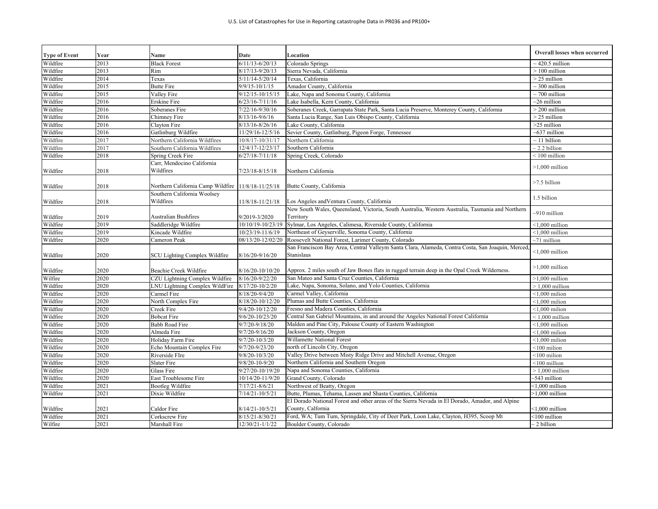| <b>Type of Event</b> | Year | Name                                     | Date                 | Location                                                                                              | <b>Overall losses when occurred</b> |
|----------------------|------|------------------------------------------|----------------------|-------------------------------------------------------------------------------------------------------|-------------------------------------|
| Wildfire             | 2013 | <b>Black Forest</b>                      | $6/11/13 - 6/20/13$  | Colorado Springs                                                                                      | $\sim$ 420.5 million                |
| Wildfire             | 2013 | Rim                                      | 8/17/13-9/20/13      | Sierra Nevada, California                                                                             | $>100$ million                      |
| Wildfire             | 2014 | Texas                                    | 5/11/14-5/20/14      | Texas, California                                                                                     | $>$ 25 million                      |
| Wildfire             | 2015 | <b>Butte Fire</b>                        | 9/9/15-10/1/15       | Amador County, California                                                                             | $\sim$ 300 million                  |
| Wildfire             | 2015 | Valley Fire                              | 9/12/15-10/15/15     | Lake, Napa and Sonoma County, California                                                              | $\sim$ 700 million                  |
| Wildfire             | 2016 | Erskine Fire                             | $6/23/16 - 7/11/16$  | Lake Isabella, Kern County, California                                                                | $\sim$ 26 million                   |
| Wildfire             | 2016 | Soberanes Fire                           | 7/22/16-9/30/16      | Soberanes Creek, Garrapata State Park, Santa Lucia Preserve, Monterey County, California              | $>$ 200 million                     |
| Wildfire             | 2016 | Chimney Fire                             | $8/13/16 - 9/6/16$   | Santa Lucia Range, San Luis Obispo County, California                                                 | $>$ 25 million                      |
| Wildfire             | 2016 | Clayton Fire                             | 8/13/16-8/26/16      | Lake County, California                                                                               | >25 million                         |
| Wildfire             | 2016 | Gatlinburg Wildfire                      | 11/29/16-12/5/16     | Sevier County, Gatlinburg, Pigeon Forge, Tennessee                                                    | $~637$ million                      |
| Wildfire             | 2017 | Northern California Wildfires            | 10/8/17-10/31/17     | Northern California                                                                                   | $\sim$ 11 billion                   |
| Wildfire             | 2017 | Southern California Wildfires            | 12/4/17-12/23/17     | Southern California                                                                                   | $\sim$ 2.2 billion                  |
| Wildfire             | 2018 | Spring Creek Fire                        | $6/27/18 - 7/11/18$  | Spring Creek, Colorado                                                                                | $<$ 100 million                     |
|                      |      | Carr, Mendocino California               |                      |                                                                                                       |                                     |
| Wildfire             | 2018 | Wildfires                                | 7/23/18-8/15/18      | Northern California                                                                                   | $>1,000$ million                    |
| Wildfire             | 2018 | Northern California Camp Wildfire        | 11/8/18-11/25/18     | Butte County, California                                                                              | >7.5 billion                        |
| Wildfire             | 2018 | Southern California Woolsey<br>Wildfires | 11/8/18-11/21/18     | Los Angeles and Ventura County, California                                                            | 1.5 billion                         |
|                      |      |                                          |                      | New South Wales, Queensland, Victoria, South Australia, Western Australia, Tasmania and Northern      |                                     |
| Wildfire             | 2019 | Australian Bushfires                     | 9/2019-3/2020        | Territory                                                                                             | $-910$ million                      |
| Wildfire             | 2019 | Saddleridge Wildfire                     | 10/10/19-10/23/19    | Sylmar, Los Angeles, Calimesa, Riverside County, California                                           | $<$ 1,000 million                   |
| Wildfire             | 2019 | Kincade Wildfire                         | 10/23/19-11/6/19     | Northeast of Geyserville, Sonoma County, California                                                   | $<$ 1,000 million                   |
| Wildfire             | 2020 | Cameron Peak                             | 08/13/20-12/02/20    | Roosevelt National Forest, Larimer County, Colorado                                                   | $~1$ million                        |
|                      |      |                                          |                      | .<br>San Franciscon Bay Area, Central Valleym Santa Clara, Alameda, Contra Costa, San Joaquin, Merced |                                     |
| Wildfire             | 2020 | <b>SCU Lighting Complex Wildfire</b>     | 8/16/20-9/16/20      | Stanislaus                                                                                            | $<$ 1,000 million                   |
| Wildfire             | 2020 | Beachie Creek Wildfire                   | 8/16/20-10/10/20     | Approx. 2 miles south of Jaw Bones flats in rugged terrain deep in the Opal Creek Wilderness.         | $>1,000$ million                    |
| Wilfire              | 2020 | CZU Lightning Complex Wildfire           | 8/16/20-9/22/20      | San Mateo and Santa Cruz Counties, California                                                         | $>1,000$ million                    |
| Wildfire             | 2020 | NU Lightning Complex WildFire            | 8/17/20-10/2/20      | Lake, Napa, Sonoma, Solano, and Yolo Counties, California                                             | $>1,000$ million                    |
| Wildfire             | 2020 | Carmel Fire                              | 8/18/20-9/4/20       | Carmel Valley, California                                                                             | $<$ 1,000 milion                    |
| Wildfire             | 2020 | North Complex Fire                       | 8/18/20-10/12/20     | Plumas and Butte Counties, California                                                                 | $< 1.000$ milion                    |
| Wildfire             | 2020 | Creek Fire                               | 9/4/20-10/12/20      | Fresno and Madera Counties, California                                                                | $< 1.000$ milion                    |
| Wildfire             | 2020 | <b>Bobcat Fire</b>                       | 9/6/20-10/23/20      | Central San Gabriel Mountains, in and around the Angeles National Forest California                   | $< 1,000$ million                   |
| Wildfire             | 2020 | <b>Babb Road Fire</b>                    | 9/7/20-9/18/20       | Malden and Pine City, Palouse County of Eastern Washington                                            | $< 1.000$ million                   |
| Wildfire             | 2020 | Almeda Fire                              | 9/7/20-9/16/20       | Jackson County, Oregon                                                                                | $< 1.000$ milion                    |
| Wildfire             | 2020 | Holiday Farm Fire                        | 9/7/20-10/3/20       | <b>Willamette National Forest</b>                                                                     | $<$ 1,000 milion                    |
| Wildfire             | 2020 | Echo Mountain Complex Fire               | 9/7/20-9/23/20       | north of Lincoln City, Oregon                                                                         | $<$ 100 milion                      |
| Wildfire             | 2020 | Riverside FIre                           | 9/8/20-10/3/20       | Valley Drive between Misty Ridge Drive and Mitchell Avenue, Oregon                                    | $<$ 100 milion                      |
| Wildfire             | 2020 | <b>Slater Fire</b>                       | $9/8/20 - 10 - 9/20$ | Northern California and Southern Oregon                                                               | <100 million                        |
| Wildfire             | 2020 | Glass Fire                               | 9/27/20-10/19/20     | Napa and Sonoma Counties, California                                                                  | $>1.000$ million                    |
| Wildfire             | 2020 | East Troublesome Fire                    | 10/14/20-11/9/20     | Grand County, Colorado                                                                                | -543 million                        |
| Wildfire             | 2021 | <b>Bootleg Wildfire</b>                  | $7/17/21 - 8/6/21$   | Northwest of Beatty, Oregon                                                                           | $< 1,000$ million                   |
| Wildfire             | 2021 | Dixie Wildfire                           | $7/14/21 - 10/5/21$  | Butte, Plumas, Tehama, Lassen and Shasta Counties, California                                         | $>1.000$ million                    |
|                      |      |                                          |                      | El Dorado National Forest and other areas of the Sierra Nevada in El Dorado, Amador, and Alpine       |                                     |
| Wildfire             | 2021 | Caldor Fire                              | $8/14/21 - 10/5/21$  | County, Calfornia                                                                                     | $<$ 1,000 million                   |
| Wildfire             | 2021 | Corkscrew Fire                           | $8/15/21 - 8/30/21$  | Ford, WA; Tum Tum, Springdale, City of Deer Park, Loon Lake, Clayton, H395, Scoop Mt                  | $<$ 100 million                     |
| Wilfire              | 2021 | Marshall Fire                            | 12/30/21-1/1/22      | Boulder County, Colorado                                                                              | $\sim$ 2 billion                    |